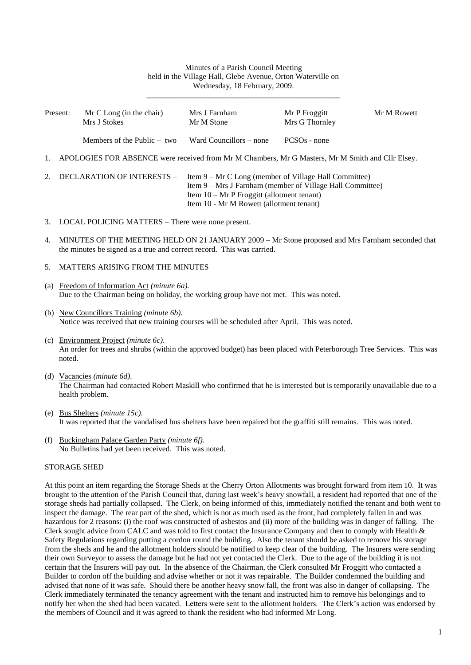## Minutes of a Parish Council Meeting held in the Village Hall, Glebe Avenue, Orton Waterville on Wednesday, 18 February, 2009.

\_\_\_\_\_\_\_\_\_\_\_\_\_\_\_\_\_\_\_\_\_\_\_\_\_\_\_\_\_\_\_\_\_\_\_\_\_\_\_\_\_\_\_\_\_\_\_\_\_

| Present: |  | Mr C Long (in the chair)<br>Mrs J Stokes                                                            | Mrs J Farnham<br>Mr M Stone                                                                                        | Mr P Froggitt<br>Mrs G Thornley | Mr M Rowett |  |
|----------|--|-----------------------------------------------------------------------------------------------------|--------------------------------------------------------------------------------------------------------------------|---------------------------------|-------------|--|
|          |  | Members of the Public $-$ two                                                                       | Ward Councillors – none                                                                                            | $PCSOS - none$                  |             |  |
|          |  | 1. APOLOGIES FOR ABSENCE were received from Mr M Chambers, Mr G Masters, Mr M Smith and Cllr Elsey. |                                                                                                                    |                                 |             |  |
|          |  | 2. DECLARATION OF INTERESTS -                                                                       | Item 9 – Mr C Long (member of Village Hall Committee)<br>Item 9 – Mrs J Farnham (member of Village Hall Committee) |                                 |             |  |

- 3. LOCAL POLICING MATTERS There were none present.
- 4. MINUTES OF THE MEETING HELD ON 21 JANUARY 2009 Mr Stone proposed and Mrs Farnham seconded that the minutes be signed as a true and correct record. This was carried.

Item 10 – Mr P Froggitt (allotment tenant) Item 10 - Mr M Rowett (allotment tenant)

# 5. MATTERS ARISING FROM THE MINUTES

- (a) Freedom of Information Act *(minute 6a).* Due to the Chairman being on holiday, the working group have not met. This was noted.
- (b) New Councillors Training *(minute 6b)*. Notice was received that new training courses will be scheduled after April. This was noted.
- (c) Environment Project *(minute 6c)*. An order for trees and shrubs (within the approved budget) has been placed with Peterborough Tree Services. This was noted.
- (d) Vacancies *(minute 6d)*. The Chairman had contacted Robert Maskill who confirmed that he is interested but is temporarily unavailable due to a health problem.
- (e) Bus Shelters *(minute 15c)*. It was reported that the vandalised bus shelters have been repaired but the graffiti still remains. This was noted.
- (f) Buckingham Palace Garden Party *(minute 6f)*. No Bulletins had yet been received. This was noted.

#### STORAGE SHED

At this point an item regarding the Storage Sheds at the Cherry Orton Allotments was brought forward from item 10. It was brought to the attention of the Parish Council that, during last week's heavy snowfall, a resident had reported that one of the storage sheds had partially collapsed. The Clerk, on being informed of this, immediately notified the tenant and both went to inspect the damage. The rear part of the shed, which is not as much used as the front, had completely fallen in and was hazardous for 2 reasons: (i) the roof was constructed of asbestos and (ii) more of the building was in danger of falling. The Clerk sought advice from CALC and was told to first contact the Insurance Company and then to comply with Health & Safety Regulations regarding putting a cordon round the building. Also the tenant should be asked to remove his storage from the sheds and he and the allotment holders should be notified to keep clear of the building. The Insurers were sending their own Surveyor to assess the damage but he had not yet contacted the Clerk. Due to the age of the building it is not certain that the Insurers will pay out. In the absence of the Chairman, the Clerk consulted Mr Froggitt who contacted a Builder to cordon off the building and advise whether or not it was repairable. The Builder condemned the building and advised that none of it was safe. Should there be another heavy snow fall, the front was also in danger of collapsing. The Clerk immediately terminated the tenancy agreement with the tenant and instructed him to remove his belongings and to notify her when the shed had been vacated. Letters were sent to the allotment holders. The Clerk's action was endorsed by the members of Council and it was agreed to thank the resident who had informed Mr Long.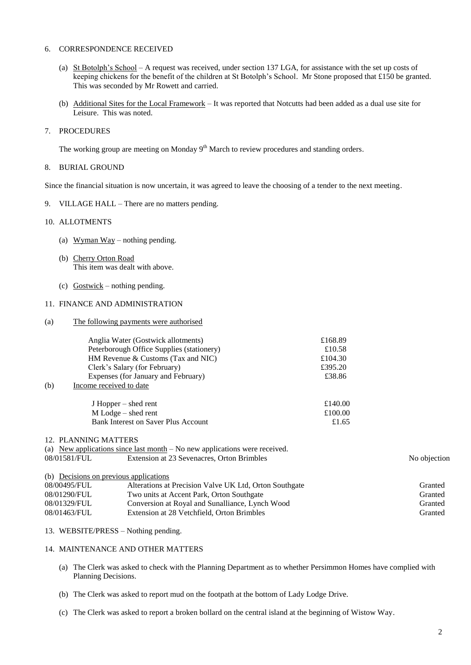# 6. CORRESPONDENCE RECEIVED

- (a) St Botolph's School A request was received, under section 137 LGA, for assistance with the set up costs of keeping chickens for the benefit of the children at St Botolph's School. Mr Stone proposed that £150 be granted. This was seconded by Mr Rowett and carried.
- (b) Additional Sites for the Local Framework It was reported that Notcutts had been added as a dual use site for Leisure. This was noted.

# 7. PROCEDURES

The working group are meeting on Monday 9<sup>th</sup> March to review procedures and standing orders.

#### 8. BURIAL GROUND

Since the financial situation is now uncertain, it was agreed to leave the choosing of a tender to the next meeting.

9. VILLAGE HALL – There are no matters pending.

## 10. ALLOTMENTS

- (a) Wyman Way nothing pending.
- (b) Cherry Orton Road This item was dealt with above.
- (c)  $Gostwick$  nothing pending.

#### 11. FINANCE AND ADMINISTRATION

(a) The following payments were authorised

|     | Anglia Water (Gostwick allotments)        | £168.89 |
|-----|-------------------------------------------|---------|
|     | Peterborough Office Supplies (stationery) | £10.58  |
|     | HM Revenue $\&$ Customs (Tax and NIC)     | £104.30 |
|     | Clerk's Salary (for February)             | £395.20 |
|     | Expenses (for January and February)       | £38.86  |
| (b) | Income received to date                   |         |
|     | $J$ Hopper – shed rent                    | £140.00 |
|     | M Lodge – shed rent                       | £100.00 |
|     | Bank Interest on Saver Plus Account       | £1.65   |

#### 12. PLANNING MATTERS

(a) New applications since last month – No new applications were received. 08/01581/FUL Extension at 23 Sevenacres, Orton Brimbles No objection No objection

|              | (b) Decisions on previous applications                 |         |
|--------------|--------------------------------------------------------|---------|
| 08/00495/FUL | Alterations at Precision Valve UK Ltd, Orton Southgate | Granted |
| 08/01290/FUL | Two units at Accent Park, Orton Southgate              | Granted |
| 08/01329/FUL | Conversion at Royal and Sunalliance, Lynch Wood        | Granted |
| 08/01463/FUL | Extension at 28 Vetchfield. Orton Brimbles             | Granted |

# 13. WEBSITE/PRESS – Nothing pending.

#### 14. MAINTENANCE AND OTHER MATTERS

- (a) The Clerk was asked to check with the Planning Department as to whether Persimmon Homes have complied with Planning Decisions.
- (b) The Clerk was asked to report mud on the footpath at the bottom of Lady Lodge Drive.
- (c) The Clerk was asked to report a broken bollard on the central island at the beginning of Wistow Way.